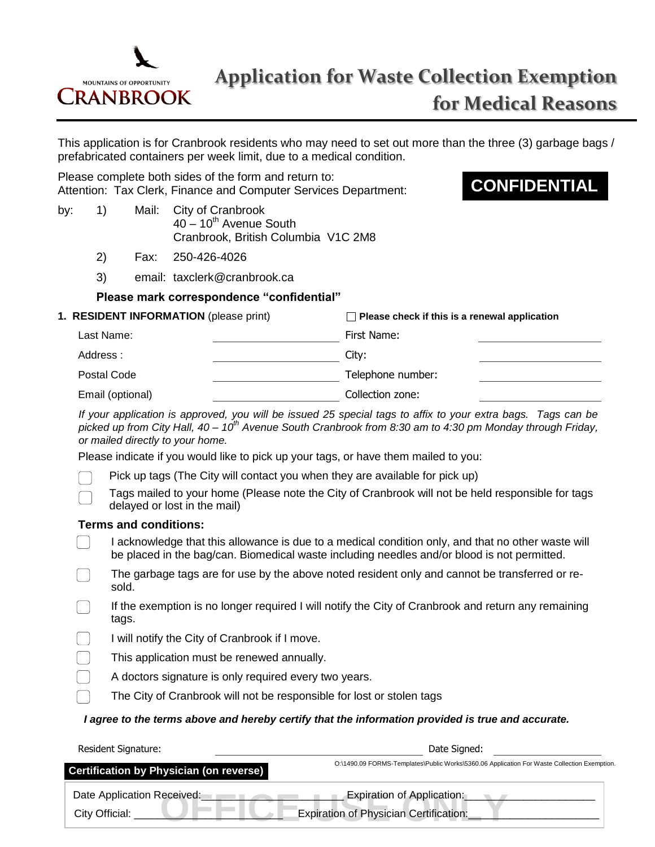

This application is for Cranbrook residents who may need to set out more than the three (3) garbage bags / prefabricated containers per week limit, due to a medical condition.

Please complete both sides of the form and return to: Attention: Tax Clerk, Finance and Computer Services Department:

- by: 1) Mail: City of Cranbrook  $40 - 10$ <sup>th</sup> Avenue South Cranbrook, British Columbia V1C 2M8
	- 2) Fax: 250-426-4026
	- 3) email: taxclerk@cranbrook.ca

### **Please mark correspondence "confidential"**

| 1. RESIDENT INFORMATION (please print) |                   | $\Box$ Please check if this is a renewal application |  |
|----------------------------------------|-------------------|------------------------------------------------------|--|
| Last Name:                             | First Name:       |                                                      |  |
| Address:                               | City:             |                                                      |  |
| Postal Code                            | Telephone number: |                                                      |  |
| Email (optional)                       | Collection zone:  |                                                      |  |

*If your application is approved, you will be issued 25 special tags to affix to your extra bags. Tags can be picked up from City Hall, 40 – 10th Avenue South Cranbrook from 8:30 am to 4:30 pm Monday through Friday, or mailed directly to your home.* 

Please indicate if you would like to pick up your tags, or have them mailed to you:

- Pick up tags (The City will contact you when they are available for pick up)
	- Tags mailed to your home (Please note the City of Cranbrook will not be held responsible for tags delayed or lost in the mail)

### **Terms and conditions:**

- I acknowledge that this allowance is due to a medical condition only, and that no other waste will be placed in the bag/can. Biomedical waste including needles and/or blood is not permitted.
- The garbage tags are for use by the above noted resident only and cannot be transferred or re- $\Box$ sold.
- If the exemption is no longer required I will notify the City of Cranbrook and return any remaining tags.

I will notify the City of Cranbrook if I move.

- This application must be renewed annually.
- $\Box$ A doctors signature is only required every two years.
	- The City of Cranbrook will not be responsible for lost or stolen tags

### *I agree to the terms above and hereby certify that the information provided is true and accurate.*

| Resident Signature:                          | Date Signed:                                                                                |  |
|----------------------------------------------|---------------------------------------------------------------------------------------------|--|
| Certification by Physician (on reverse)      | O:\1490.09 FORMS-Templates\Public Works\5360.06 Application For Waste Collection Exemption. |  |
| Date Application Received:<br>City Official: | <b>Expiration of Application:</b><br>Expiration of Physician Certification:                 |  |

# **CONFIDENTIAL**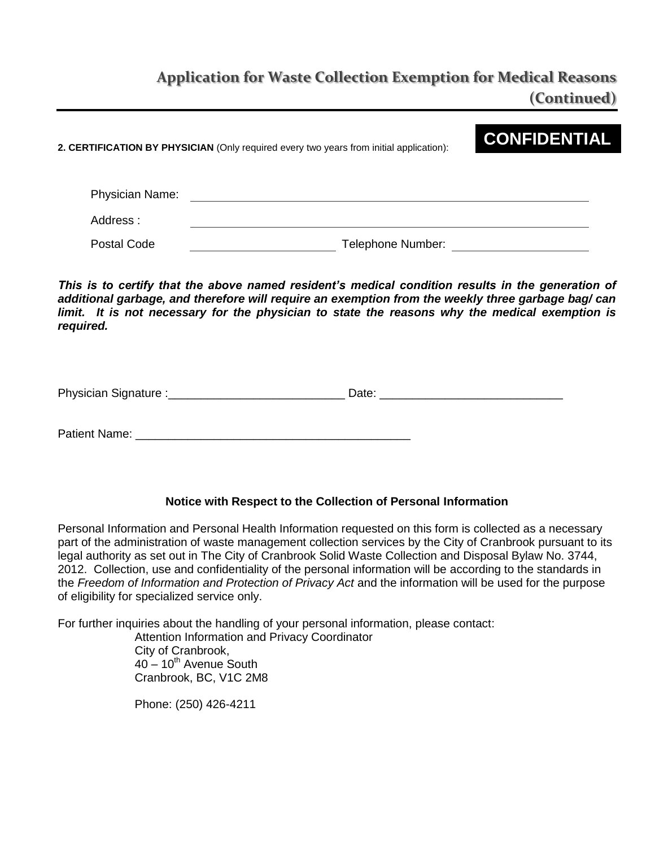## **Application for Waste Collection Exemption for Medical Reasons (Continued)**

**2. CERTIFICATION BY PHYSICIAN** (Only required every two years from initial application):

# **CONFIDENTIAL**

| <b>Physician Name:</b> |                   |
|------------------------|-------------------|
| Address:               |                   |
| Postal Code            | Telephone Number: |

This is to certify that the above named resident's medical condition results in the generation of *additional garbage, and therefore will require an exemption from the weekly three garbage bag/ can*  limit. It is not necessary for the physician to state the reasons why the medical exemption is *required.* 

Physician Signature :\_\_\_\_\_\_\_\_\_\_\_\_\_\_\_\_\_\_\_\_\_\_\_\_\_\_\_ Date: \_\_\_\_\_\_\_\_\_\_\_\_\_\_\_\_\_\_\_\_\_\_\_\_\_\_\_\_

Patient Name:

### **Notice with Respect to the Collection of Personal Information**

Personal Information and Personal Health Information requested on this form is collected as a necessary part of the administration of waste management collection services by the City of Cranbrook pursuant to its legal authority as set out in The City of Cranbrook Solid Waste Collection and Disposal Bylaw No. 3744, 2012. Collection, use and confidentiality of the personal information will be according to the standards in the *Freedom of Information and Protection of Privacy Act* and the information will be used for the purpose of eligibility for specialized service only.

For further inquiries about the handling of your personal information, please contact:

Attention Information and Privacy Coordinator City of Cranbrook,  $40 - 10$ <sup>th</sup> Avenue South Cranbrook, BC, V1C 2M8

Phone: (250) 426-4211